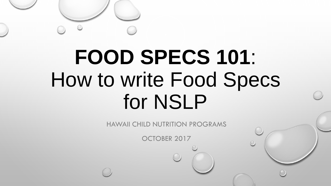#### **FOOD SPECS 101**: How to write Food Specs for NSLP

HAWAII CHILD NUTRITION PROGRAMS

OCTOBER 2017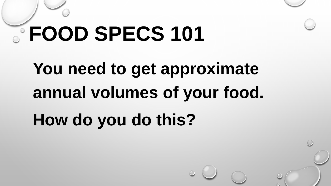### **You need to get approximate annual volumes of your food. How do you do this?**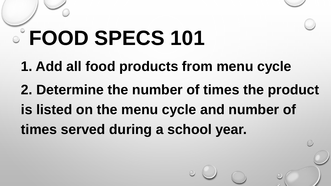**1. Add all food products from menu cycle 2. Determine the number of times the product is listed on the menu cycle and number of times served during a school year.**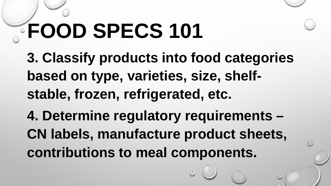**3. Classify products into food categories based on type, varieties, size, shelfstable, frozen, refrigerated, etc. 4. Determine regulatory requirements – CN labels, manufacture product sheets, contributions to meal components.**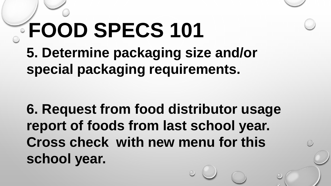#### **FOOD SPECS 101 5. Determine packaging size and/or special packaging requirements.**

**6. Request from food distributor usage report of foods from last school year. Cross check with new menu for this school year.**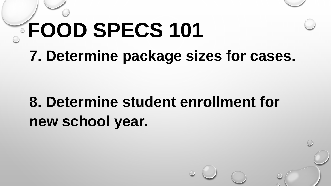## **FOOD SPECS 101 7. Determine package sizes for cases.**

#### **8. Determine student enrollment for new school year.**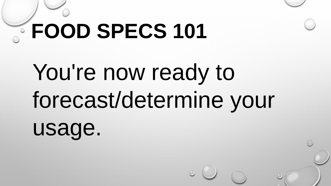# You're now ready to forecast/determine your

usage.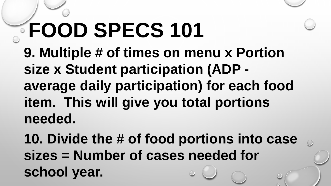**9. Multiple # of times on menu x Portion size x Student participation (ADP average daily participation) for each food item. This will give you total portions needed.** 

**10. Divide the # of food portions into case sizes = Number of cases needed for school year.**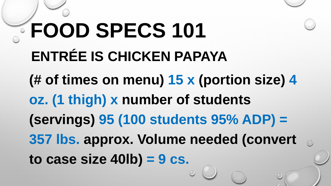### **FOOD SPECS 101 ENTRÉE IS CHICKEN PAPAYA (# of times on menu) 15 x (portion size) 4 oz. (1 thigh) x number of students (servings) 95 (100 students 95% ADP) = 357 lbs. approx. Volume needed (convert to case size 40lb) = 9 cs.**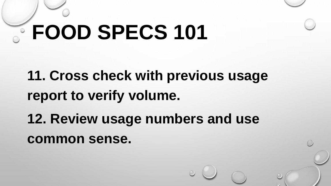#### **11. Cross check with previous usage report to verify volume.**

**12. Review usage numbers and use common sense.**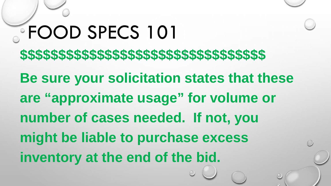### **FOOD SPECS 101 \$\$\$\$\$\$\$\$\$\$\$\$\$\$\$\$\$\$\$\$\$\$\$\$\$\$\$\$\$\$\$\$ Be sure your solicitation states that these are "approximate usage" for volume or number of cases needed. If not, you might be liable to purchase excess inventory at the end of the bid.**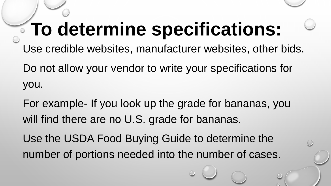#### **To determine specifications:**

Use credible websites, manufacturer websites, other bids.

Do not allow your vendor to write your specifications for you.

For example- If you look up the grade for bananas, you will find there are no U.S. grade for bananas.

Use the USDA Food Buying Guide to determine the number of portions needed into the number of cases.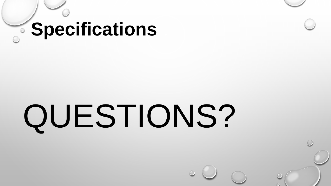#### **Specifications**

# QUESTIONS?